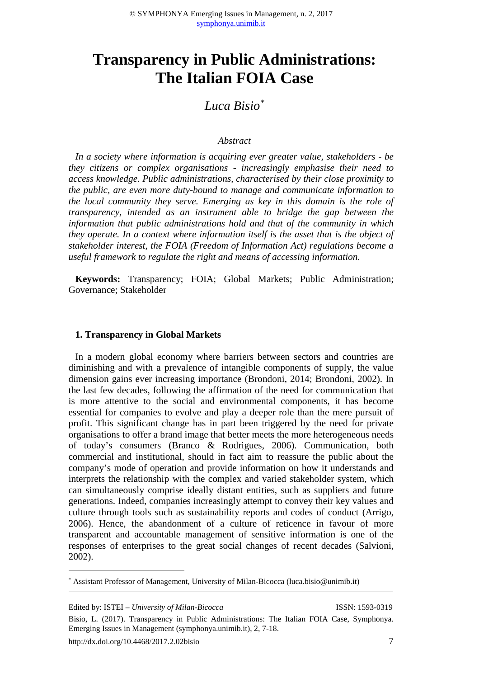# **Transparency in Public Administrations: The Italian FOIA Case**

# *Luca Bisio\**

#### *Abstract*

*In a society where information is acquiring ever greater value, stakeholders - be they citizens or complex organisations - increasingly emphasise their need to access knowledge. Public administrations, characterised by their close proximity to the public, are even more duty-bound to manage and communicate information to the local community they serve. Emerging as key in this domain is the role of transparency, intended as an instrument able to bridge the gap between the information that public administrations hold and that of the community in which they operate. In a context where information itself is the asset that is the object of stakeholder interest, the FOIA (Freedom of Information Act) regulations become a useful framework to regulate the right and means of accessing information.* 

**Keywords:** Transparency; FOIA; Global Markets; Public Administration; Governance; Stakeholder

#### **1. Transparency in Global Markets**

In a modern global economy where barriers between sectors and countries are diminishing and with a prevalence of intangible components of supply, the value dimension gains ever increasing importance (Brondoni, 2014; Brondoni, 2002). In the last few decades, following the affirmation of the need for communication that is more attentive to the social and environmental components, it has become essential for companies to evolve and play a deeper role than the mere pursuit of profit. This significant change has in part been triggered by the need for private organisations to offer a brand image that better meets the more heterogeneous needs of today's consumers (Branco & Rodrigues, 2006). Communication, both commercial and institutional, should in fact aim to reassure the public about the company's mode of operation and provide information on how it understands and interprets the relationship with the complex and varied stakeholder system, which can simultaneously comprise ideally distant entities, such as suppliers and future generations. Indeed, companies increasingly attempt to convey their key values and culture through tools such as sustainability reports and codes of conduct (Arrigo, 2006). Hence, the abandonment of a culture of reticence in favour of more transparent and accountable management of sensitive information is one of the responses of enterprises to the great social changes of recent decades (Salvioni, 2002).

Edited by: ISTEI – *University of Milan-Bicocca* ISSN: 1593-0319

 $\overline{a}$ 

<sup>\*</sup> Assistant Professor of Management, University of Milan-Bicocca (luca.bisio@unimib.it)

Bisio, L. (2017). Transparency in Public Administrations: The Italian FOIA Case, Symphonya. Emerging Issues in Management (symphonya.unimib.it), 2, 7-18.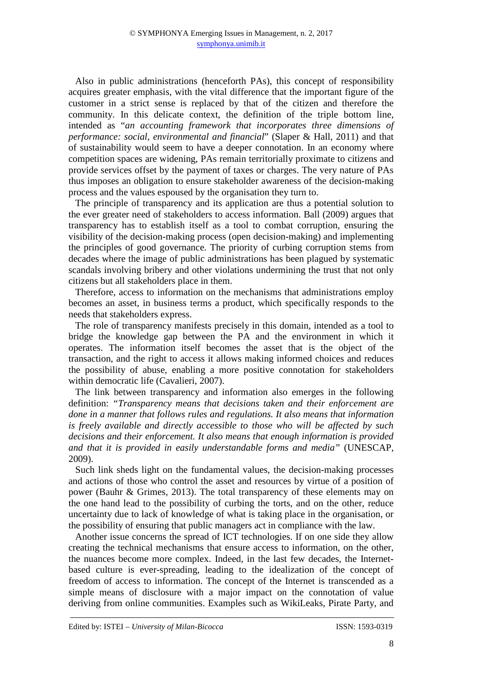Also in public administrations (henceforth PAs), this concept of responsibility acquires greater emphasis, with the vital difference that the important figure of the customer in a strict sense is replaced by that of the citizen and therefore the community. In this delicate context, the definition of the triple bottom line, intended as "*an accounting framework that incorporates three dimensions of performance: social, environmental and financial*" (Slaper & Hall, 2011) and that of sustainability would seem to have a deeper connotation. In an economy where competition spaces are widening, PAs remain territorially proximate to citizens and provide services offset by the payment of taxes or charges. The very nature of PAs thus imposes an obligation to ensure stakeholder awareness of the decision-making process and the values espoused by the organisation they turn to.

The principle of transparency and its application are thus a potential solution to the ever greater need of stakeholders to access information. Ball (2009) argues that transparency has to establish itself as a tool to combat corruption, ensuring the visibility of the decision-making process (open decision-making) and implementing the principles of good governance. The priority of curbing corruption stems from decades where the image of public administrations has been plagued by systematic scandals involving bribery and other violations undermining the trust that not only citizens but all stakeholders place in them.

Therefore, access to information on the mechanisms that administrations employ becomes an asset, in business terms a product, which specifically responds to the needs that stakeholders express.

The role of transparency manifests precisely in this domain, intended as a tool to bridge the knowledge gap between the PA and the environment in which it operates. The information itself becomes the asset that is the object of the transaction, and the right to access it allows making informed choices and reduces the possibility of abuse, enabling a more positive connotation for stakeholders within democratic life (Cavalieri, 2007).

The link between transparency and information also emerges in the following definition: *"Transparency means that decisions taken and their enforcement are done in a manner that follows rules and regulations. It also means that information is freely available and directly accessible to those who will be affected by such decisions and their enforcement. It also means that enough information is provided and that it is provided in easily understandable forms and media"* (UNESCAP, 2009).

Such link sheds light on the fundamental values, the decision-making processes and actions of those who control the asset and resources by virtue of a position of power (Bauhr & Grimes, 2013). The total transparency of these elements may on the one hand lead to the possibility of curbing the torts, and on the other, reduce uncertainty due to lack of knowledge of what is taking place in the organisation, or the possibility of ensuring that public managers act in compliance with the law.

Another issue concerns the spread of ICT technologies. If on one side they allow creating the technical mechanisms that ensure access to information, on the other, the nuances become more complex. Indeed, in the last few decades, the Internetbased culture is ever-spreading, leading to the idealization of the concept of freedom of access to information. The concept of the Internet is transcended as a simple means of disclosure with a major impact on the connotation of value deriving from online communities. Examples such as WikiLeaks, Pirate Party, and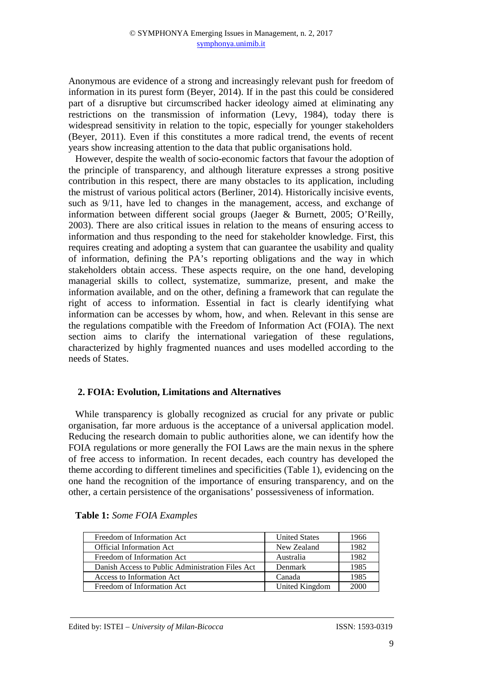Anonymous are evidence of a strong and increasingly relevant push for freedom of information in its purest form (Beyer, 2014). If in the past this could be considered part of a disruptive but circumscribed hacker ideology aimed at eliminating any restrictions on the transmission of information (Levy, 1984), today there is widespread sensitivity in relation to the topic, especially for younger stakeholders (Beyer, 2011). Even if this constitutes a more radical trend, the events of recent years show increasing attention to the data that public organisations hold.

However, despite the wealth of socio-economic factors that favour the adoption of the principle of transparency, and although literature expresses a strong positive contribution in this respect, there are many obstacles to its application, including the mistrust of various political actors (Berliner, 2014). Historically incisive events, such as 9/11, have led to changes in the management, access, and exchange of information between different social groups (Jaeger & Burnett, 2005; O'Reilly, 2003). There are also critical issues in relation to the means of ensuring access to information and thus responding to the need for stakeholder knowledge. First, this requires creating and adopting a system that can guarantee the usability and quality of information, defining the PA's reporting obligations and the way in which stakeholders obtain access. These aspects require, on the one hand, developing managerial skills to collect, systematize, summarize, present, and make the information available, and on the other, defining a framework that can regulate the right of access to information. Essential in fact is clearly identifying what information can be accesses by whom, how, and when. Relevant in this sense are the regulations compatible with the Freedom of Information Act (FOIA). The next section aims to clarify the international variegation of these regulations, characterized by highly fragmented nuances and uses modelled according to the needs of States.

#### **2. FOIA: Evolution, Limitations and Alternatives**

While transparency is globally recognized as crucial for any private or public organisation, far more arduous is the acceptance of a universal application model. Reducing the research domain to public authorities alone, we can identify how the FOIA regulations or more generally the FOI Laws are the main nexus in the sphere of free access to information. In recent decades, each country has developed the theme according to different timelines and specificities (Table 1), evidencing on the one hand the recognition of the importance of ensuring transparency, and on the other, a certain persistence of the organisations' possessiveness of information.

| Freedom of Information Act                       | <b>United States</b> | 1966 |
|--------------------------------------------------|----------------------|------|
| <b>Official Information Act</b>                  | New Zealand          | 1982 |
| Freedom of Information Act                       | Australia            | 1982 |
| Danish Access to Public Administration Files Act | Denmark              | 1985 |
| Access to Information Act                        | Canada               | 1985 |
| Freedom of Information Act                       | United Kingdom       | 2000 |

#### **Table 1:** *Some FOIA Examples*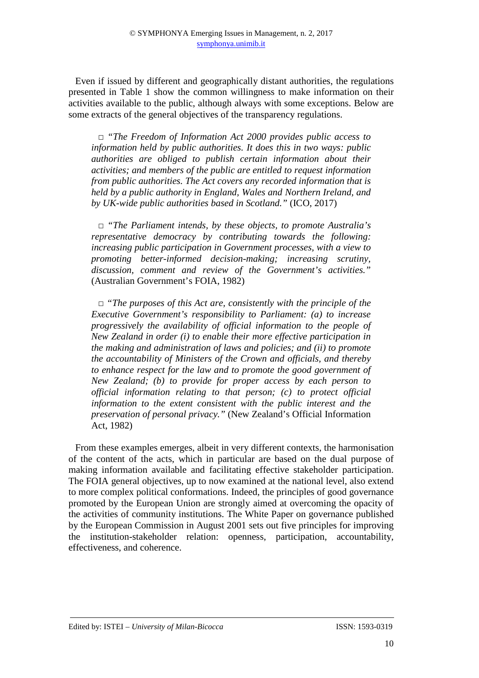Even if issued by different and geographically distant authorities, the regulations presented in Table 1 show the common willingness to make information on their activities available to the public, although always with some exceptions. Below are some extracts of the general objectives of the transparency regulations.

*□ "The Freedom of Information Act 2000 provides public access to information held by public authorities. It does this in two ways: public authorities are obliged to publish certain information about their activities; and members of the public are entitled to request information from public authorities. The Act covers any recorded information that is held by a public authority in England, Wales and Northern Ireland, and by UK-wide public authorities based in Scotland."* (ICO, 2017)

*□ "The Parliament intends, by these objects, to promote Australia's representative democracy by contributing towards the following: increasing public participation in Government processes, with a view to promoting better-informed decision-making; increasing scrutiny, discussion, comment and review of the Government's activities."* (Australian Government's FOIA, 1982)

*□ "The purposes of this Act are, consistently with the principle of the Executive Government's responsibility to Parliament: (a) to increase progressively the availability of official information to the people of New Zealand in order (i) to enable their more effective participation in the making and administration of laws and policies; and (ii) to promote the accountability of Ministers of the Crown and officials, and thereby to enhance respect for the law and to promote the good government of New Zealand; (b) to provide for proper access by each person to official information relating to that person; (c) to protect official information to the extent consistent with the public interest and the preservation of personal privacy."* (New Zealand's Official Information Act, 1982)

From these examples emerges, albeit in very different contexts, the harmonisation of the content of the acts, which in particular are based on the dual purpose of making information available and facilitating effective stakeholder participation. The FOIA general objectives, up to now examined at the national level, also extend to more complex political conformations. Indeed, the principles of good governance promoted by the European Union are strongly aimed at overcoming the opacity of the activities of community institutions. The White Paper on governance published by the European Commission in August 2001 sets out five principles for improving the institution-stakeholder relation: openness, participation, accountability, effectiveness, and coherence.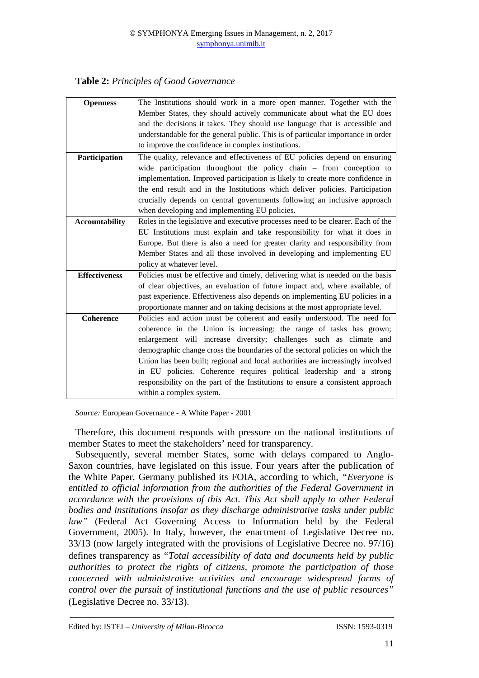| The Institutions should work in a more open manner. Together with the            |  |
|----------------------------------------------------------------------------------|--|
| Member States, they should actively communicate about what the EU does           |  |
| and the decisions it takes. They should use language that is accessible and      |  |
| understandable for the general public. This is of particular importance in order |  |
| to improve the confidence in complex institutions.                               |  |
| The quality, relevance and effectiveness of EU policies depend on ensuring       |  |
| wide participation throughout the policy chain - from conception to              |  |
| implementation. Improved participation is likely to create more confidence in    |  |
|                                                                                  |  |
| the end result and in the Institutions which deliver policies. Participation     |  |
| crucially depends on central governments following an inclusive approach         |  |
| when developing and implementing EU policies.                                    |  |
| Roles in the legislative and executive processes need to be clearer. Each of the |  |
| EU Institutions must explain and take responsibility for what it does in         |  |
| Europe. But there is also a need for greater clarity and responsibility from     |  |
| Member States and all those involved in developing and implementing EU           |  |
| policy at whatever level.                                                        |  |
| Policies must be effective and timely, delivering what is needed on the basis    |  |
| of clear objectives, an evaluation of future impact and, where available, of     |  |
| past experience. Effectiveness also depends on implementing EU policies in a     |  |
| proportionate manner and on taking decisions at the most appropriate level.      |  |
| Policies and action must be coherent and easily understood. The need for         |  |
| coherence in the Union is increasing: the range of tasks has grown;              |  |
| enlargement will increase diversity; challenges such as climate and              |  |
| demographic change cross the boundaries of the sectoral policies on which the    |  |
| Union has been built; regional and local authorities are increasingly involved   |  |
| in EU policies. Coherence requires political leadership and a strong             |  |
|                                                                                  |  |
| responsibility on the part of the Institutions to ensure a consistent approach   |  |
|                                                                                  |  |

#### **Table 2:** *Principles of Good Governance*

*Source:* European Governance - A White Paper - 2001

Therefore, this document responds with pressure on the national institutions of member States to meet the stakeholders' need for transparency.

Subsequently, several member States, some with delays compared to Anglo-Saxon countries, have legislated on this issue. Four years after the publication of the White Paper, Germany published its FOIA, according to which, *"Everyone is entitled to official information from the authorities of the Federal Government in accordance with the provisions of this Act. This Act shall apply to other Federal bodies and institutions insofar as they discharge administrative tasks under public law"* (Federal Act Governing Access to Information held by the Federal Government, 2005). In Italy, however, the enactment of Legislative Decree no. 33/13 (now largely integrated with the provisions of Legislative Decree no. 97/16) defines transparency as *"Total accessibility of data and documents held by public authorities to protect the rights of citizens, promote the participation of those concerned with administrative activities and encourage widespread forms of control over the pursuit of institutional functions and the use of public resources"*  (Legislative Decree no. 33/13).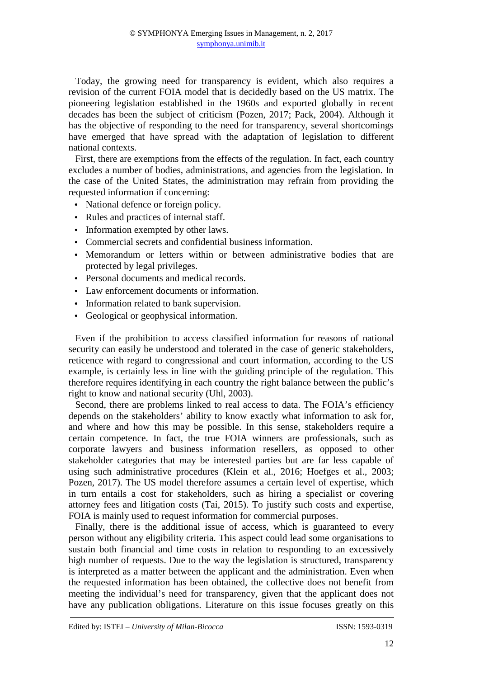Today, the growing need for transparency is evident, which also requires a revision of the current FOIA model that is decidedly based on the US matrix. The pioneering legislation established in the 1960s and exported globally in recent decades has been the subject of criticism (Pozen, 2017; Pack, 2004). Although it has the objective of responding to the need for transparency, several shortcomings have emerged that have spread with the adaptation of legislation to different national contexts.

First, there are exemptions from the effects of the regulation. In fact, each country excludes a number of bodies, administrations, and agencies from the legislation. In the case of the United States, the administration may refrain from providing the requested information if concerning:

- **•** National defence or foreign policy.
- **•** Rules and practices of internal staff.
- **•** Information exempted by other laws.
- **•** Commercial secrets and confidential business information.
- **•** Memorandum or letters within or between administrative bodies that are protected by legal privileges.
- **•** Personal documents and medical records.
- **•** Law enforcement documents or information.
- **•** Information related to bank supervision.
- **•** Geological or geophysical information.

Even if the prohibition to access classified information for reasons of national security can easily be understood and tolerated in the case of generic stakeholders, reticence with regard to congressional and court information, according to the US example, is certainly less in line with the guiding principle of the regulation. This therefore requires identifying in each country the right balance between the public's right to know and national security (Uhl, 2003).

Second, there are problems linked to real access to data. The FOIA's efficiency depends on the stakeholders' ability to know exactly what information to ask for, and where and how this may be possible. In this sense, stakeholders require a certain competence. In fact, the true FOIA winners are professionals, such as corporate lawyers and business information resellers, as opposed to other stakeholder categories that may be interested parties but are far less capable of using such administrative procedures (Klein et al., 2016; Hoefges et al., 2003; Pozen, 2017). The US model therefore assumes a certain level of expertise, which in turn entails a cost for stakeholders, such as hiring a specialist or covering attorney fees and litigation costs (Tai, 2015). To justify such costs and expertise, FOIA is mainly used to request information for commercial purposes.

Finally, there is the additional issue of access, which is guaranteed to every person without any eligibility criteria. This aspect could lead some organisations to sustain both financial and time costs in relation to responding to an excessively high number of requests. Due to the way the legislation is structured, transparency is interpreted as a matter between the applicant and the administration. Even when the requested information has been obtained, the collective does not benefit from meeting the individual's need for transparency, given that the applicant does not have any publication obligations. Literature on this issue focuses greatly on this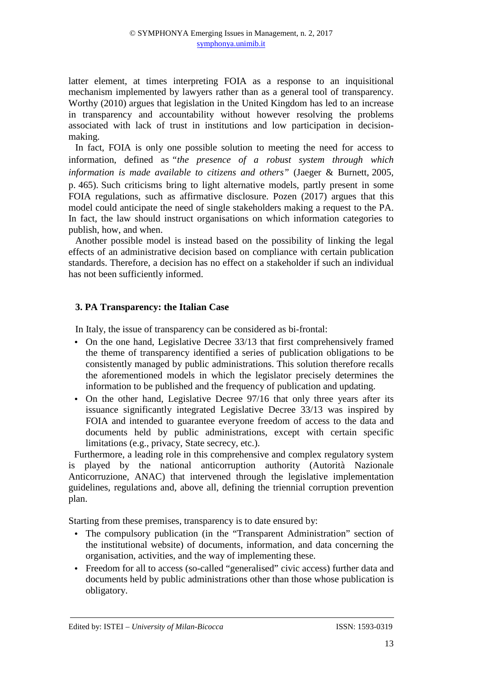latter element, at times interpreting FOIA as a response to an inquisitional mechanism implemented by lawyers rather than as a general tool of transparency. Worthy (2010) argues that legislation in the United Kingdom has led to an increase in transparency and accountability without however resolving the problems associated with lack of trust in institutions and low participation in decisionmaking.

In fact, FOIA is only one possible solution to meeting the need for access to information, defined as *"the presence of a robust system through which information is made available to citizens and others"* (Jaeger & Burnett, 2005, p. 465). Such criticisms bring to light alternative models, partly present in some FOIA regulations, such as affirmative disclosure. Pozen (2017) argues that this model could anticipate the need of single stakeholders making a request to the PA. In fact, the law should instruct organisations on which information categories to publish, how, and when.

Another possible model is instead based on the possibility of linking the legal effects of an administrative decision based on compliance with certain publication standards. Therefore, a decision has no effect on a stakeholder if such an individual has not been sufficiently informed.

# **3. PA Transparency: the Italian Case**

In Italy, the issue of transparency can be considered as bi-frontal:

- **•** On the one hand, Legislative Decree 33/13 that first comprehensively framed the theme of transparency identified a series of publication obligations to be consistently managed by public administrations. This solution therefore recalls the aforementioned models in which the legislator precisely determines the information to be published and the frequency of publication and updating.
- **•** On the other hand, Legislative Decree 97/16 that only three years after its issuance significantly integrated Legislative Decree 33/13 was inspired by FOIA and intended to guarantee everyone freedom of access to the data and documents held by public administrations, except with certain specific limitations (e.g., privacy, State secrecy, etc.).

Furthermore, a leading role in this comprehensive and complex regulatory system is played by the national anticorruption authority (Autorità Nazionale Anticorruzione, ANAC) that intervened through the legislative implementation guidelines, regulations and, above all, defining the triennial corruption prevention plan.

Starting from these premises, transparency is to date ensured by:

- **•** The compulsory publication (in the "Transparent Administration" section of the institutional website) of documents, information, and data concerning the organisation, activities, and the way of implementing these.
- **•** Freedom for all to access (so-called "generalised" civic access) further data and documents held by public administrations other than those whose publication is obligatory.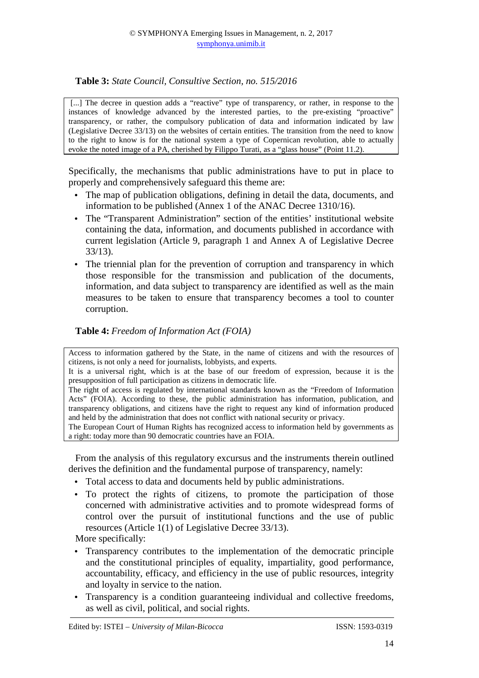# **Table 3:** *State Council, Consultive Section, no. 515/2016*

[...] The decree in question adds a "reactive" type of transparency, or rather, in response to the instances of knowledge advanced by the interested parties, to the pre-existing "proactive" transparency, or rather, the compulsory publication of data and information indicated by law (Legislative Decree 33/13) on the websites of certain entities. The transition from the need to know to the right to know is for the national system a type of Copernican revolution, able to actually evoke the noted image of a PA, cherished by Filippo Turati, as a "glass house" (Point 11.2).

Specifically, the mechanisms that public administrations have to put in place to properly and comprehensively safeguard this theme are:

- **•** The map of publication obligations, defining in detail the data, documents, and information to be published (Annex 1 of the ANAC Decree 1310/16).
- **•** The "Transparent Administration" section of the entities' institutional website containing the data, information, and documents published in accordance with current legislation (Article 9, paragraph 1 and Annex A of Legislative Decree 33/13).
- **•** The triennial plan for the prevention of corruption and transparency in which those responsible for the transmission and publication of the documents, information, and data subject to transparency are identified as well as the main measures to be taken to ensure that transparency becomes a tool to counter corruption.

# **Table 4:** *Freedom of Information Act (FOIA)*

Access to information gathered by the State, in the name of citizens and with the resources of citizens, is not only a need for journalists, lobbyists, and experts.

It is a universal right, which is at the base of our freedom of expression, because it is the presupposition of full participation as citizens in democratic life.

The right of access is regulated by international standards known as the "Freedom of Information Acts" (FOIA). According to these, the public administration has information, publication, and transparency obligations, and citizens have the right to request any kind of information produced and held by the administration that does not conflict with national security or privacy.

The European Court of Human Rights has recognized access to information held by governments as a right: today more than 90 democratic countries have an FOIA.

From the analysis of this regulatory excursus and the instruments therein outlined derives the definition and the fundamental purpose of transparency, namely:

- **•** Total access to data and documents held by public administrations.
- **•** To protect the rights of citizens, to promote the participation of those concerned with administrative activities and to promote widespread forms of control over the pursuit of institutional functions and the use of public resources (Article 1(1) of Legislative Decree 33/13).

More specifically:

- **•** Transparency contributes to the implementation of the democratic principle and the constitutional principles of equality, impartiality, good performance, accountability, efficacy, and efficiency in the use of public resources, integrity and loyalty in service to the nation.
- **•** Transparency is a condition guaranteeing individual and collective freedoms, as well as civil, political, and social rights.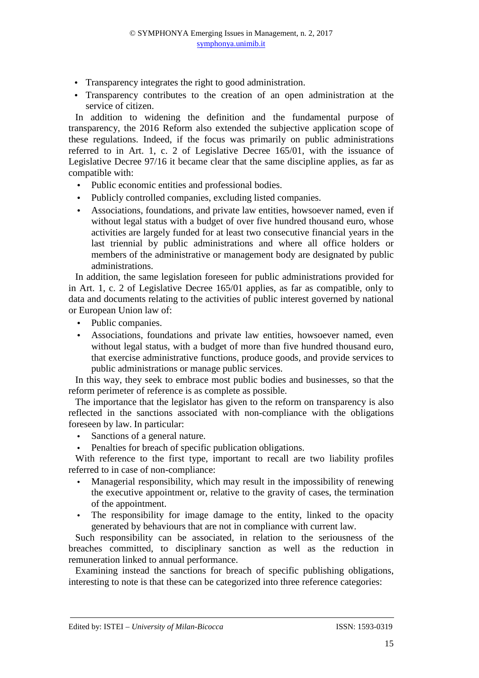- **•** Transparency integrates the right to good administration.
- **•** Transparency contributes to the creation of an open administration at the service of citizen.

In addition to widening the definition and the fundamental purpose of transparency, the 2016 Reform also extended the subjective application scope of these regulations. Indeed, if the focus was primarily on public administrations referred to in Art. 1, c. 2 of Legislative Decree 165/01, with the issuance of Legislative Decree 97/16 it became clear that the same discipline applies, as far as compatible with:

- **•** Public economic entities and professional bodies.
- **•** Publicly controlled companies, excluding listed companies.
- **•** Associations, foundations, and private law entities, howsoever named, even if without legal status with a budget of over five hundred thousand euro, whose activities are largely funded for at least two consecutive financial years in the last triennial by public administrations and where all office holders or members of the administrative or management body are designated by public administrations.

In addition, the same legislation foreseen for public administrations provided for in Art. 1, c. 2 of Legislative Decree 165/01 applies, as far as compatible, only to data and documents relating to the activities of public interest governed by national or European Union law of:

- **•** Public companies.
- **•** Associations, foundations and private law entities, howsoever named, even without legal status, with a budget of more than five hundred thousand euro, that exercise administrative functions, produce goods, and provide services to public administrations or manage public services.

In this way, they seek to embrace most public bodies and businesses, so that the reform perimeter of reference is as complete as possible.

The importance that the legislator has given to the reform on transparency is also reflected in the sanctions associated with non-compliance with the obligations foreseen by law. In particular:

- **•** Sanctions of a general nature.
- **•** Penalties for breach of specific publication obligations.

With reference to the first type, important to recall are two liability profiles referred to in case of non-compliance:

- **•** Managerial responsibility, which may result in the impossibility of renewing the executive appointment or, relative to the gravity of cases, the termination of the appointment.
- The responsibility for image damage to the entity, linked to the opacity generated by behaviours that are not in compliance with current law.

Such responsibility can be associated, in relation to the seriousness of the breaches committed, to disciplinary sanction as well as the reduction in remuneration linked to annual performance.

Examining instead the sanctions for breach of specific publishing obligations, interesting to note is that these can be categorized into three reference categories: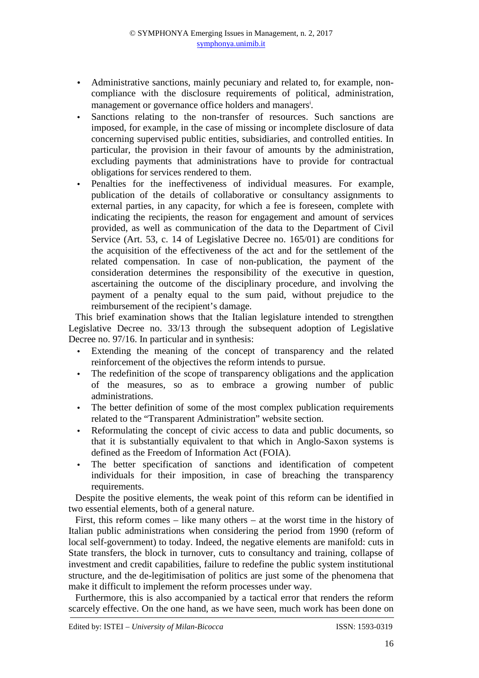- **•** Administrative sanctions, mainly pecuniary and related to, for example, noncompliance with the disclosure requirements of political, administration, management or governance office holders and managers<sup>i</sup>.
- Sanctions relating to the non-transfer of resources. Such sanctions are imposed, for example, in the case of missing or incomplete disclosure of data concerning supervised public entities, subsidiaries, and controlled entities. In particular, the provision in their favour of amounts by the administration, excluding payments that administrations have to provide for contractual obligations for services rendered to them.
- **•** Penalties for the ineffectiveness of individual measures. For example, publication of the details of collaborative or consultancy assignments to external parties, in any capacity, for which a fee is foreseen, complete with indicating the recipients, the reason for engagement and amount of services provided, as well as communication of the data to the Department of Civil Service (Art. 53, c. 14 of Legislative Decree no. 165/01) are conditions for the acquisition of the effectiveness of the act and for the settlement of the related compensation. In case of non-publication, the payment of the consideration determines the responsibility of the executive in question, ascertaining the outcome of the disciplinary procedure, and involving the payment of a penalty equal to the sum paid, without prejudice to the reimbursement of the recipient's damage.

This brief examination shows that the Italian legislature intended to strengthen Legislative Decree no. 33/13 through the subsequent adoption of Legislative Decree no. 97/16. In particular and in synthesis:

- Extending the meaning of the concept of transparency and the related reinforcement of the objectives the reform intends to pursue.
- The redefinition of the scope of transparency obligations and the application of the measures, so as to embrace a growing number of public administrations.
- **•** The better definition of some of the most complex publication requirements related to the "Transparent Administration" website section.
- **•** Reformulating the concept of civic access to data and public documents, so that it is substantially equivalent to that which in Anglo-Saxon systems is defined as the Freedom of Information Act (FOIA).
- **•** The better specification of sanctions and identification of competent individuals for their imposition, in case of breaching the transparency requirements.

Despite the positive elements, the weak point of this reform can be identified in two essential elements, both of a general nature.

First, this reform comes – like many others – at the worst time in the history of Italian public administrations when considering the period from 1990 (reform of local self-government) to today. Indeed, the negative elements are manifold: cuts in State transfers, the block in turnover, cuts to consultancy and training, collapse of investment and credit capabilities, failure to redefine the public system institutional structure, and the de-legitimisation of politics are just some of the phenomena that make it difficult to implement the reform processes under way.

Furthermore, this is also accompanied by a tactical error that renders the reform scarcely effective. On the one hand, as we have seen, much work has been done on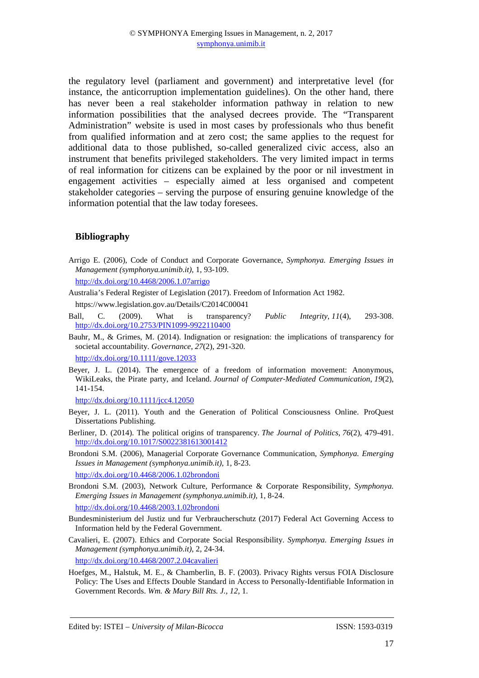the regulatory level (parliament and government) and interpretative level (for instance, the anticorruption implementation guidelines). On the other hand, there has never been a real stakeholder information pathway in relation to new information possibilities that the analysed decrees provide. The "Transparent Administration" website is used in most cases by professionals who thus benefit from qualified information and at zero cost; the same applies to the request for additional data to those published, so-called generalized civic access, also an instrument that benefits privileged stakeholders. The very limited impact in terms of real information for citizens can be explained by the poor or nil investment in engagement activities – especially aimed at less organised and competent stakeholder categories – serving the purpose of ensuring genuine knowledge of the information potential that the law today foresees.

#### **Bibliography**

Arrigo E. (2006), Code of Conduct and Corporate Governance, *Symphonya. Emerging Issues in Management (symphonya.unimib.it)*, 1, 93-109. http://dx.doi.org/10.4468/2006.1.07arrigo

Australia's Federal Register of Legislation (2017). Freedom of Information Act 1982. https://www.legislation.gov.au/Details/C2014C00041

- Ball, C. (2009). What is transparency? *Public Integrity*, *11*(4), 293-308. http://dx.doi.org/10.2753/PIN1099-9922110400
- Bauhr, M., & Grimes, M. (2014). Indignation or resignation: the implications of transparency for societal accountability. *Governance*, *27*(2), 291-320.

http://dx.doi.org/10.1111/gove.12033

Beyer, J. L. (2014). The emergence of a freedom of information movement: Anonymous, WikiLeaks, the Pirate party, and Iceland. *Journal of Computer‐Mediated Communication*, *19*(2), 141-154.

http://dx.doi.org/10.1111/jcc4.12050

- Beyer, J. L. (2011). Youth and the Generation of Political Consciousness Online. ProQuest Dissertations Publishing.
- Berliner, D. (2014). The political origins of transparency. *The Journal of Politics*, *76*(2), 479-491. http://dx.doi.org/10.1017/S0022381613001412
- Brondoni S.M. (2006), Managerial Corporate Governance Communication, *Symphonya. Emerging Issues in Management (symphonya.unimib.it)*, 1, 8-23.

http://dx.doi.org/10.4468/2006.1.02brondoni

Brondoni S.M. (2003), Network Culture, Performance & Corporate Responsibility, *Symphonya. Emerging Issues in Management (symphonya.unimib.it)*, 1, 8-24.

http://dx.doi.org/10.4468/2003.1.02brondoni

- Bundesministerium del Justiz und fur Verbraucherschutz (2017) Federal Act Governing Access to Information held by the Federal Government.
- Cavalieri, E. (2007). Ethics and Corporate Social Responsibility. *Symphonya. Emerging Issues in Management (symphonya.unimib.it)*, 2, 24-34.

http://dx.doi.org/10.4468/2007.2.04cavalieri

Hoefges, M., Halstuk, M. E., & Chamberlin, B. F. (2003). Privacy Rights versus FOIA Disclosure Policy: The Uses and Effects Double Standard in Access to Personally-Identifiable Information in Government Records. *Wm. & Mary Bill Rts. J.*, *12*, 1.